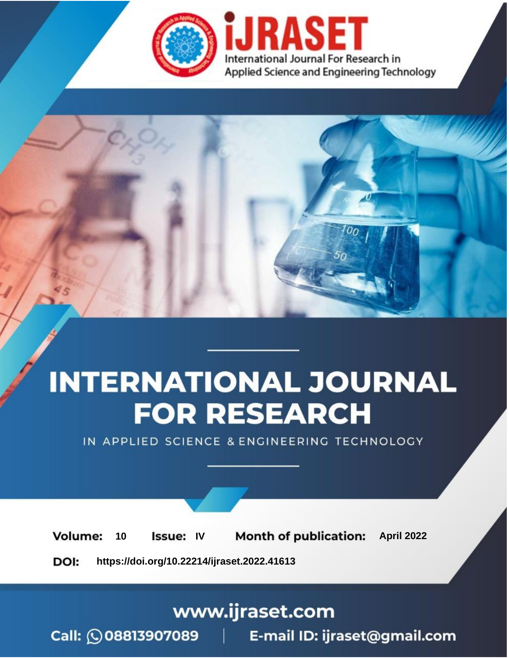

# **INTERNATIONAL JOURNAL FOR RESEARCH**

IN APPLIED SCIENCE & ENGINEERING TECHNOLOGY

10 **Issue: IV Month of publication:** April 2022 **Volume:** 

**https://doi.org/10.22214/ijraset.2022.41613**DOI:

www.ijraset.com

Call: 008813907089 | E-mail ID: ijraset@gmail.com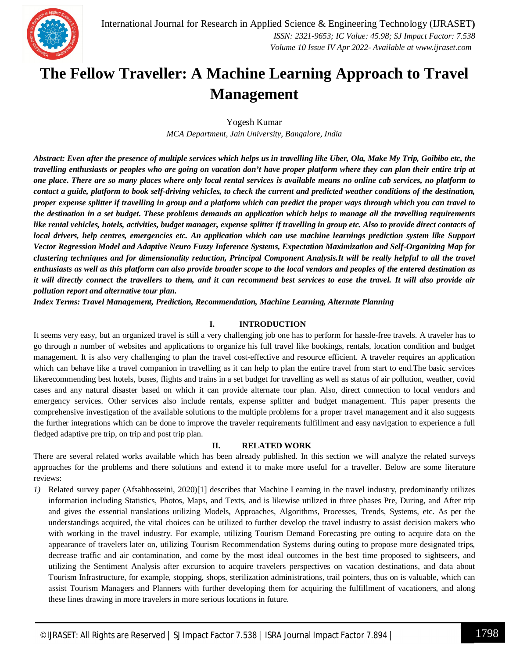

### **The Fellow Traveller: A Machine Learning Approach to Travel Management**

Yogesh Kumar *MCA Department, Jain University, Bangalore, India*

Abstract: Even after the presence of multiple services which helps us in travelling like Uber, Ola, Make My Trip, Goibibo etc, the travelling enthusiasts or peoples who are going on vacation don't have proper platform where they can plan their entire trip at one place. There are so many places where only local rental services is available means no online cab services, no platform to contact a guide, platform to book self-driving vehicles, to check the current and predicted weather conditions of the destination, proper expense splitter if travelling in group and a platform which can predict the proper ways through which you can travel to the destination in a set budget. These problems demands an application which helps to manage all the travelling requirements like rental vehicles, hotels, activities, budget manager, expense splitter if travelling in group etc. Also to provide direct contacts of local drivers, help centres, emergencies etc. An application which can use machine learnings prediction system like Support Vector Regression Model and Adaptive Neuro Fuzzy Inference Systems, Expectation Maximization and Self-Organizing Map for clustering techniques and for dimensionality reduction, Principal Component Analysis.It will be really helpful to all the travel enthusiasts as well as this platform can also provide broader scope to the local vendors and peoples of the entered destination as it will directly connect the travellers to them, and it can recommend best services to ease the travel. It will also provide air *pollution report and alternative tour plan.*

*Index Terms: Travel Management, Prediction, Recommendation, Machine Learning, Alternate Planning*

#### **I. INTRODUCTION**

It seems very easy, but an organized travel is still a very challenging job one has to perform for hassle-free travels. A traveler has to go through n number of websites and applications to organize his full travel like bookings, rentals, location condition and budget management. It is also very challenging to plan the travel cost-effective and resource efficient. A traveler requires an application which can behave like a travel companion in travelling as it can help to plan the entire travel from start to end.The basic services likerecommending best hotels, buses, flights and trains in a set budget for travelling as well as status of air pollution, weather, covid cases and any natural disaster based on which it can provide alternate tour plan. Also, direct connection to local vendors and emergency services. Other services also include rentals, expense splitter and budget management. This paper presents the comprehensive investigation of the available solutions to the multiple problems for a proper travel management and it also suggests the further integrations which can be done to improve the traveler requirements fulfillment and easy navigation to experience a full fledged adaptive pre trip, on trip and post trip plan.

#### **II. RELATED WORK**

There are several related works available which has been already published. In this section we will analyze the related surveys approaches for the problems and there solutions and extend it to make more useful for a traveller. Below are some literature reviews:

*1)* Related survey paper (Afsahhosseini, 2020)[1] describes that Machine Learning in the travel industry, predominantly utilizes information including Statistics, Photos, Maps, and Texts, and is likewise utilized in three phases Pre, During, and After trip and gives the essential translations utilizing Models, Approaches, Algorithms, Processes, Trends, Systems, etc. As per the understandings acquired, the vital choices can be utilized to further develop the travel industry to assist decision makers who with working in the travel industry. For example, utilizing Tourism Demand Forecasting pre outing to acquire data on the appearance of travelers later on, utilizing Tourism Recommendation Systems during outing to propose more designated trips, decrease traffic and air contamination, and come by the most ideal outcomes in the best time proposed to sightseers, and utilizing the Sentiment Analysis after excursion to acquire travelers perspectives on vacation destinations, and data about Tourism Infrastructure, for example, stopping, shops, sterilization administrations, trail pointers, thus on is valuable, which can assist Tourism Managers and Planners with further developing them for acquiring the fulfillment of vacationers, and along these lines drawing in more travelers in more serious locations in future.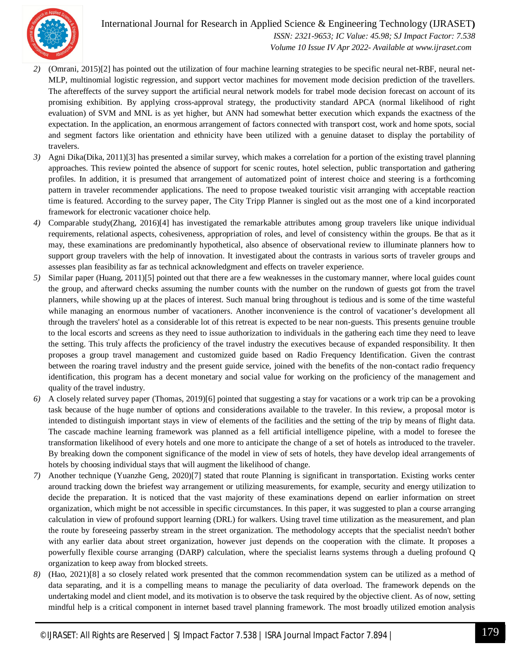

International Journal for Research in Applied Science & Engineering Technology (IJRASET**)**  *ISSN: 2321-9653; IC Value: 45.98; SJ Impact Factor: 7.538 Volume 10 Issue IV Apr 2022- Available at www.ijraset.com*

- *2)* (Omrani, 2015)[2] has pointed out the utilization of four machine learning strategies to be specific neural net-RBF, neural net-MLP, multinomial logistic regression, and support vector machines for movement mode decision prediction of the travellers. The aftereffects of the survey support the artificial neural network models for trabel mode decision forecast on account of its promising exhibition. By applying cross-approval strategy, the productivity standard APCA (normal likelihood of right evaluation) of SVM and MNL is as yet higher, but ANN had somewhat better execution which expands the exactness of the expectation. In the application, an enormous arrangement of factors connected with transport cost, work and home spots, social and segment factors like orientation and ethnicity have been utilized with a genuine dataset to display the portability of travelers.
- *3)* Agni Dika(Dika, 2011)[3] has presented a similar survey, which makes a correlation for a portion of the existing travel planning approaches. This review pointed the absence of support for scenic routes, hotel selection, public transportation and gathering profiles. In addition, it is presumed that arrangement of automatized point of interest choice and steering is a forthcoming pattern in traveler recommender applications. The need to propose tweaked touristic visit arranging with acceptable reaction time is featured. According to the survey paper, The City Tripp Planner is singled out as the most one of a kind incorporated framework for electronic vacationer choice help.
- *4)* Comparable study(Zhang, 2016)[4] has investigated the remarkable attributes among group travelers like unique individual requirements, relational aspects, cohesiveness, appropriation of roles, and level of consistency within the groups. Be that as it may, these examinations are predominantly hypothetical, also absence of observational review to illuminate planners how to support group travelers with the help of innovation. It investigated about the contrasts in various sorts of traveler groups and assesses plan feasibility as far as technical acknowledgment and effects on traveler experience.
- *5)* Similar paper (Huang, 2011)[5] pointed out that there are a few weaknesses in the customary manner, where local guides count the group, and afterward checks assuming the number counts with the number on the rundown of guests got from the travel planners, while showing up at the places of interest. Such manual bring throughout is tedious and is some of the time wasteful while managing an enormous number of vacationers. Another inconvenience is the control of vacationer's development all through the travelers' hotel as a considerable lot of this retreat is expected to be near non-guests. This presents genuine trouble to the local escorts and screens as they need to issue authorization to individuals in the gathering each time they need to leave the setting. This truly affects the proficiency of the travel industry the executives because of expanded responsibility. It then proposes a group travel management and customized guide based on Radio Frequency Identification. Given the contrast between the roaring travel industry and the present guide service, joined with the benefits of the non-contact radio frequency identification, this program has a decent monetary and social value for working on the proficiency of the management and quality of the travel industry.
- *6)* A closely related survey paper (Thomas, 2019)[6] pointed that suggesting a stay for vacations or a work trip can be a provoking task because of the huge number of options and considerations available to the traveler. In this review, a proposal motor is intended to distinguish important stays in view of elements of the facilities and the setting of the trip by means of flight data. The cascade machine learning framework was planned as a fell artificial intelligence pipeline, with a model to foresee the transformation likelihood of every hotels and one more to anticipate the change of a set of hotels as introduced to the traveler. By breaking down the component significance of the model in view of sets of hotels, they have develop ideal arrangements of hotels by choosing individual stays that will augment the likelihood of change.
- *7)* Another technique (Yuanzhe Geng, 2020)[7] stated that route Planning is significant in transportation. Existing works center around tracking down the briefest way arrangement or utilizing measurements, for example, security and energy utilization to decide the preparation. It is noticed that the vast majority of these examinations depend on earlier information on street organization, which might be not accessible in specific circumstances. In this paper, it was suggested to plan a course arranging calculation in view of profound support learning (DRL) for walkers. Using travel time utilization as the measurement, and plan the route by foreseeing passerby stream in the street organization. The methodology accepts that the specialist needn't bother with any earlier data about street organization, however just depends on the cooperation with the climate. It proposes a powerfully flexible course arranging (DARP) calculation, where the specialist learns systems through a dueling profound Q organization to keep away from blocked streets.
- *8)* (Hao, 2021)[8] a so closely related work presented that the common recommendation system can be utilized as a method of data separating, and it is a compelling means to manage the peculiarity of data overload. The framework depends on the undertaking model and client model, and its motivation is to observe the task required by the objective client. As of now, setting mindful help is a critical component in internet based travel planning framework. The most broadly utilized emotion analysis

9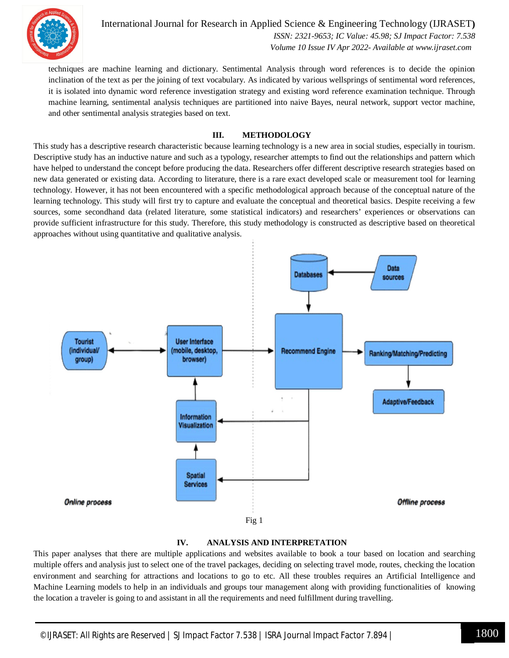

International Journal for Research in Applied Science & Engineering Technology (IJRASET**)**  *ISSN: 2321-9653; IC Value: 45.98; SJ Impact Factor: 7.538 Volume 10 Issue IV Apr 2022- Available at www.ijraset.com*

techniques are machine learning and dictionary. Sentimental Analysis through word references is to decide the opinion inclination of the text as per the joining of text vocabulary. As indicated by various wellsprings of sentimental word references, it is isolated into dynamic word reference investigation strategy and existing word reference examination technique. Through machine learning, sentimental analysis techniques are partitioned into naive Bayes, neural network, support vector machine, and other sentimental analysis strategies based on text.

#### **III. METHODOLOGY**

This study has a descriptive research characteristic because learning technology is a new area in social studies, especially in tourism. Descriptive study has an inductive nature and such as a typology, researcher attempts to find out the relationships and pattern which have helped to understand the concept before producing the data. Researchers offer different descriptive research strategies based on new data generated or existing data. According to literature, there is a rare exact developed scale or measurement tool for learning technology. However, it has not been encountered with a specific methodological approach because of the conceptual nature of the learning technology. This study will first try to capture and evaluate the conceptual and theoretical basics. Despite receiving a few sources, some secondhand data (related literature, some statistical indicators) and researchers' experiences or observations can provide sufficient infrastructure for this study. Therefore, this study methodology is constructed as descriptive based on theoretical approaches without using quantitative and qualitative analysis.





This paper analyses that there are multiple applications and websites available to book a tour based on location and searching multiple offers and analysis just to select one of the travel packages, deciding on selecting travel mode, routes, checking the location environment and searching for attractions and locations to go to etc. All these troubles requires an Artificial Intelligence and Machine Learning models to help in an individuals and groups tour management along with providing functionalities of knowing the location a traveler is going to and assistant in all the requirements and need fulfillment during travelling.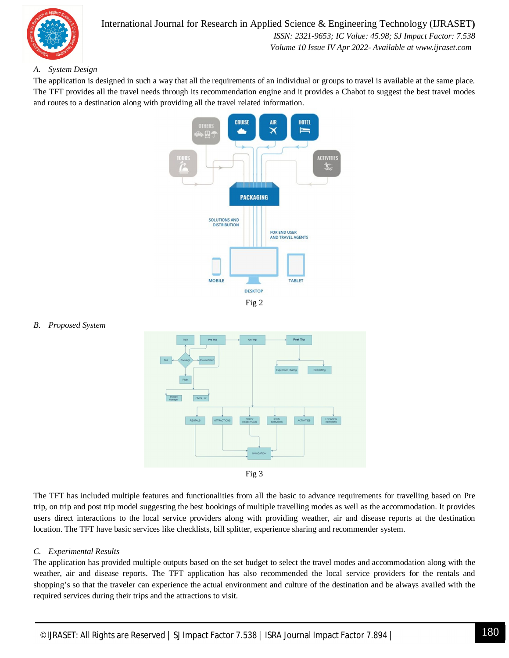

#### *A. System Design*

The application is designed in such a way that all the requirements of an individual or groups to travel is available at the same place. The TFT provides all the travel needs through its recommendation engine and it provides a Chabot to suggest the best travel modes and routes to a destination along with providing all the travel related information.



#### *B. Proposed System*





The TFT has included multiple features and functionalities from all the basic to advance requirements for travelling based on Pre trip, on trip and post trip model suggesting the best bookings of multiple travelling modes as well as the accommodation. It provides users direct interactions to the local service providers along with providing weather, air and disease reports at the destination location. The TFT have basic services like checklists, bill splitter, experience sharing and recommender system.

#### *C. Experimental Results*

The application has provided multiple outputs based on the set budget to select the travel modes and accommodation along with the weather, air and disease reports. The TFT application has also recommended the local service providers for the rentals and shopping's so that the traveler can experience the actual environment and culture of the destination and be always availed with the required services during their trips and the attractions to visit.

1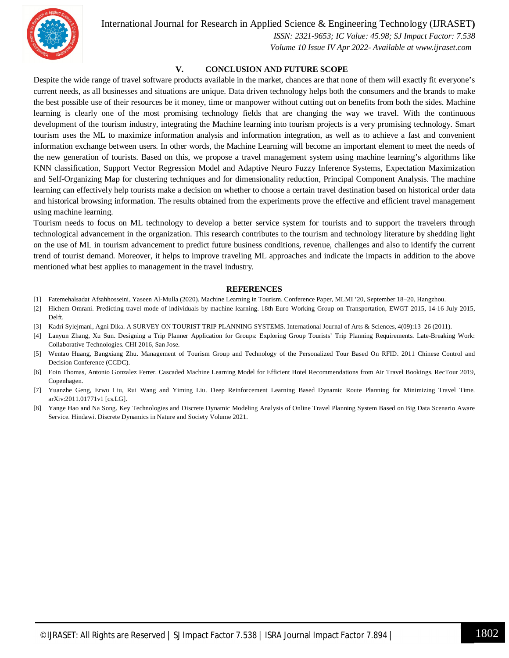

International Journal for Research in Applied Science & Engineering Technology (IJRASET**)**

 *ISSN: 2321-9653; IC Value: 45.98; SJ Impact Factor: 7.538 Volume 10 Issue IV Apr 2022- Available at www.ijraset.com*

#### **V. CONCLUSION AND FUTURE SCOPE**

Despite the wide range of travel software products available in the market, chances are that none of them will exactly fit everyone's current needs, as all businesses and situations are unique. Data driven technology helps both the consumers and the brands to make the best possible use of their resources be it money, time or manpower without cutting out on benefits from both the sides. Machine learning is clearly one of the most promising technology fields that are changing the way we travel. With the continuous development of the tourism industry, integrating the Machine learning into tourism projects is a very promising technology. Smart tourism uses the ML to maximize information analysis and information integration, as well as to achieve a fast and convenient information exchange between users. In other words, the Machine Learning will become an important element to meet the needs of the new generation of tourists. Based on this, we propose a travel management system using machine learning's algorithms like KNN classification, Support Vector Regression Model and Adaptive Neuro Fuzzy Inference Systems, Expectation Maximization and Self-Organizing Map for clustering techniques and for dimensionality reduction, Principal Component Analysis. The machine learning can effectively help tourists make a decision on whether to choose a certain travel destination based on historical order data and historical browsing information. The results obtained from the experiments prove the effective and efficient travel management using machine learning.

Tourism needs to focus on ML technology to develop a better service system for tourists and to support the travelers through technological advancement in the organization. This research contributes to the tourism and technology literature by shedding light on the use of ML in tourism advancement to predict future business conditions, revenue, challenges and also to identify the current trend of tourist demand. Moreover, it helps to improve traveling ML approaches and indicate the impacts in addition to the above mentioned what best applies to management in the travel industry.

#### **REFERENCES**

- [1] Fatemehalsadat Afsahhosseini, Yaseen Al-Mulla (2020). Machine Learning in Tourism. Conference Paper, MLMI '20, September 18–20, Hangzhou.
- [2] Hichem Omrani. Predicting travel mode of individuals by machine learning. 18th Euro Working Group on Transportation, EWGT 2015, 14-16 July 2015, Delft.
- [3] Kadri Sylejmani, Agni Dika. A SURVEY ON TOURIST TRIP PLANNING SYSTEMS. International Journal of Arts & Sciences, 4(09):13–26 (2011).
- [4] Lanyun Zhang, Xu Sun. Designing a Trip Planner Application for Groups: Exploring Group Tourists' Trip Planning Requirements. Late-Breaking Work: Collaborative Technologies. CHI 2016, San Jose.
- [5] Wentao Huang, Bangxiang Zhu. Management of Tourism Group and Technology of the Personalized Tour Based On RFID. 2011 Chinese Control and Decision Conference (CCDC).
- [6] Eoin Thomas, Antonio Gonzalez Ferrer. Cascaded Machine Learning Model for Efficient Hotel Recommendations from Air Travel Bookings. RecTour 2019, Copenhagen.
- [7] Yuanzhe Geng, Erwu Liu, Rui Wang and Yiming Liu. Deep Reinforcement Learning Based Dynamic Route Planning for Minimizing Travel Time. arXiv:2011.01771v1 [cs.LG].
- [8] Yange Hao and Na Song. Key Technologies and Discrete Dynamic Modeling Analysis of Online Travel Planning System Based on Big Data Scenario Aware Service. Hindawi. Discrete Dynamics in Nature and Society Volume 2021.